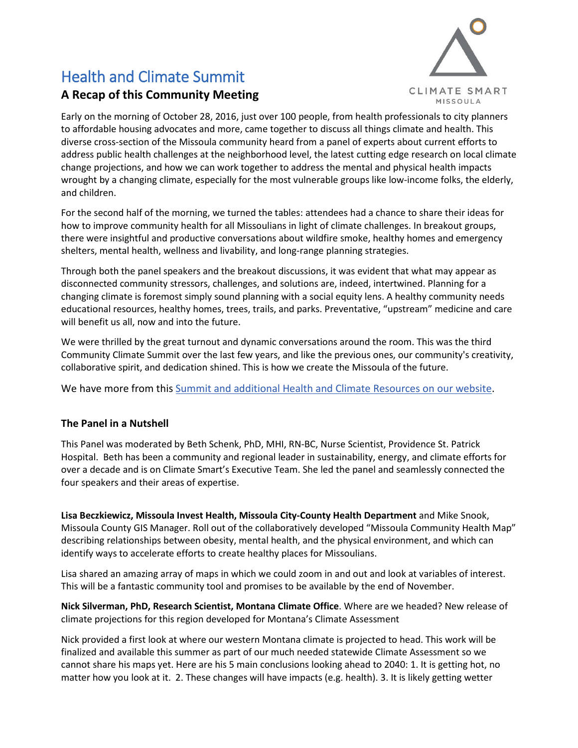# Health and Climate Summit



## **A Recap of this Community Meeting**

Early on the morning of October 28, 2016, just over 100 people, from health professionals to city planners to affordable housing advocates and more, came together to discuss all things climate and health. This diverse cross-section of the Missoula community heard from a panel of experts about current efforts to address public health challenges at the neighborhood level, the latest cutting edge research on local climate change projections, and how we can work together to address the mental and physical health impacts wrought by a changing climate, especially for the most vulnerable groups like low-income folks, the elderly, and children.

For the second half of the morning, we turned the tables: attendees had a chance to share their ideas for how to improve community health for all Missoulians in light of climate challenges. In breakout groups, there were insightful and productive conversations about wildfire smoke, healthy homes and emergency shelters, mental health, wellness and livability, and long-range planning strategies.

Through both the panel speakers and the breakout discussions, it was evident that what may appear as disconnected community stressors, challenges, and solutions are, indeed, intertwined. Planning for a changing climate is foremost simply sound planning with a social equity lens. A healthy community needs educational resources, healthy homes, trees, trails, and parks. Preventative, "upstream" medicine and care will benefit us all, now and into the future.

We were thrilled by the great turnout and dynamic conversations around the room. This was the third Community Climate Summit over the last few years, and like the previous ones, our community's creativity, collaborative spirit, and dedication shined. This is how we create the Missoula of the future.

We have more from this [Summit and additional Health and Climate Resources on our website.](http://www.missoulaclimate.org/health-and-climate-summit.html)

### **The Panel in a Nutshell**

This Panel was moderated by Beth Schenk, PhD, MHI, RN-BC, Nurse Scientist, Providence St. Patrick Hospital. Beth has been a community and regional leader in sustainability, energy, and climate efforts for over a decade and is on Climate Smart's Executive Team. She led the panel and seamlessly connected the four speakers and their areas of expertise.

**Lisa Beczkiewicz, Missoula Invest Health, Missoula City-County Health Department** and Mike Snook, Missoula County GIS Manager. Roll out of the collaboratively developed "Missoula Community Health Map" describing relationships between obesity, mental health, and the physical environment, and which can identify ways to accelerate efforts to create healthy places for Missoulians.

Lisa shared an amazing array of maps in which we could zoom in and out and look at variables of interest. This will be a fantastic community tool and promises to be available by the end of November.

**Nick Silverman, PhD, Research Scientist, Montana Climate Office**. Where are we headed? New release of climate projections for this region developed for Montana's Climate Assessment

Nick provided a first look at where our western Montana climate is projected to head. This work will be finalized and available this summer as part of our much needed statewide Climate Assessment so we cannot share his maps yet. Here are his 5 main conclusions looking ahead to 2040: 1. It is getting hot, no matter how you look at it. 2. These changes will have impacts (e.g. health). 3. It is likely getting wetter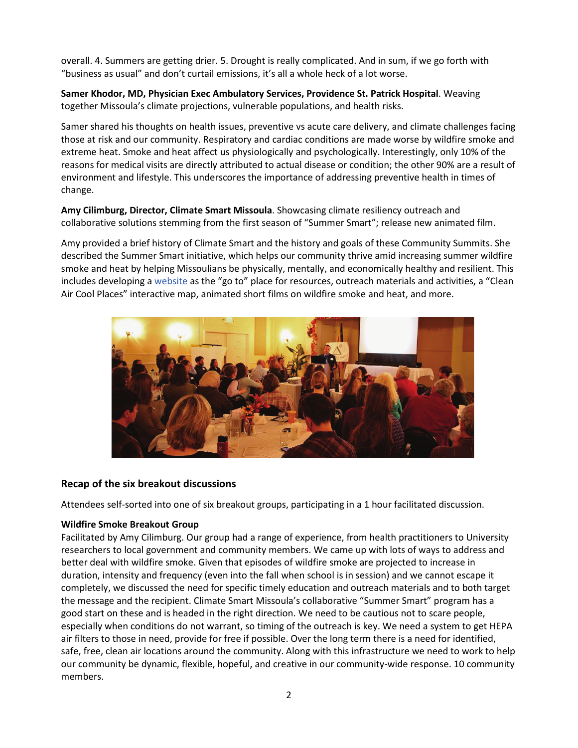overall. 4. Summers are getting drier. 5. Drought is really complicated. And in sum, if we go forth with "business as usual" and don't curtail emissions, it's all a whole heck of a lot worse.

**Samer Khodor, MD, Physician Exec Ambulatory Services, Providence St. Patrick Hospital**. Weaving together Missoula's climate projections, vulnerable populations, and health risks.

Samer shared his thoughts on health issues, preventive vs acute care delivery, and climate challenges facing those at risk and our community. Respiratory and cardiac conditions are made worse by wildfire smoke and extreme heat. Smoke and heat affect us physiologically and psychologically. Interestingly, only 10% of the reasons for medical visits are directly attributed to actual disease or condition; the other 90% are a result of environment and lifestyle. This underscores the importance of addressing preventive health in times of change.

**Amy Cilimburg, Director, Climate Smart Missoula**. Showcasing climate resiliency outreach and collaborative solutions stemming from the first season of "Summer Smart"; release new animated film.

Amy provided a brief history of Climate Smart and the history and goals of these Community Summits. She described the Summer Smart initiative, which helps our community thrive amid increasing summer wildfire smoke and heat by helping Missoulians be physically, mentally, and economically healthy and resilient. This includes developing [a website](http://www.missoulaclimate.org/summer-smart.html) as the "go to" place for resources, outreach materials and activities, a "Clean Air Cool Places" interactive map, animated short films on wildfire smoke and heat, and more.



#### **Recap of the six breakout discussions**

Attendees self-sorted into one of six breakout groups, participating in a 1 hour facilitated discussion.

#### **Wildfire Smoke Breakout Group**

Facilitated by Amy Cilimburg. Our group had a range of experience, from health practitioners to University researchers to local government and community members. We came up with lots of ways to address and better deal with wildfire smoke. Given that episodes of wildfire smoke are projected to increase in duration, intensity and frequency (even into the fall when school is in session) and we cannot escape it completely, we discussed the need for specific timely education and outreach materials and to both target the message and the recipient. Climate Smart Missoula's collaborative "Summer Smart" program has a good start on these and is headed in the right direction. We need to be cautious not to scare people, especially when conditions do not warrant, so timing of the outreach is key. We need a system to get HEPA air filters to those in need, provide for free if possible. Over the long term there is a need for identified, safe, free, clean air locations around the community. Along with this infrastructure we need to work to help our community be dynamic, flexible, hopeful, and creative in our community-wide response. 10 community members.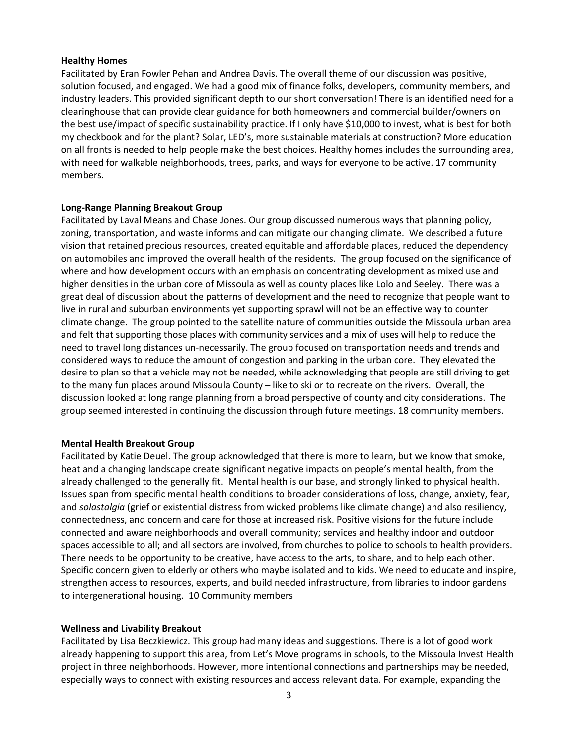#### **Healthy Homes**

Facilitated by Eran Fowler Pehan and Andrea Davis. The overall theme of our discussion was positive, solution focused, and engaged. We had a good mix of finance folks, developers, community members, and industry leaders. This provided significant depth to our short conversation! There is an identified need for a clearinghouse that can provide clear guidance for both homeowners and commercial builder/owners on the best use/impact of specific sustainability practice. If I only have \$10,000 to invest, what is best for both my checkbook and for the plant? Solar, LED's, more sustainable materials at construction? More education on all fronts is needed to help people make the best choices. Healthy homes includes the surrounding area, with need for walkable neighborhoods, trees, parks, and ways for everyone to be active. 17 community members.

#### **Long-Range Planning Breakout Group**

Facilitated by Laval Means and Chase Jones. Our group discussed numerous ways that planning policy, zoning, transportation, and waste informs and can mitigate our changing climate. We described a future vision that retained precious resources, created equitable and affordable places, reduced the dependency on automobiles and improved the overall health of the residents. The group focused on the significance of where and how development occurs with an emphasis on concentrating development as mixed use and higher densities in the urban core of Missoula as well as county places like Lolo and Seeley. There was a great deal of discussion about the patterns of development and the need to recognize that people want to live in rural and suburban environments yet supporting sprawl will not be an effective way to counter climate change. The group pointed to the satellite nature of communities outside the Missoula urban area and felt that supporting those places with community services and a mix of uses will help to reduce the need to travel long distances un-necessarily. The group focused on transportation needs and trends and considered ways to reduce the amount of congestion and parking in the urban core. They elevated the desire to plan so that a vehicle may not be needed, while acknowledging that people are still driving to get to the many fun places around Missoula County – like to ski or to recreate on the rivers. Overall, the discussion looked at long range planning from a broad perspective of county and city considerations. The group seemed interested in continuing the discussion through future meetings. 18 community members.

#### **Mental Health Breakout Group**

Facilitated by Katie Deuel. The group acknowledged that there is more to learn, but we know that smoke, heat and a changing landscape create significant negative impacts on people's mental health, from the already challenged to the generally fit. Mental health is our base, and strongly linked to physical health. Issues span from specific mental health conditions to broader considerations of loss, change, anxiety, fear, and *solastalgia* (grief or existential distress from wicked problems like climate change) and also resiliency, connectedness, and concern and care for those at increased risk. Positive visions for the future include connected and aware neighborhoods and overall community; services and healthy indoor and outdoor spaces accessible to all; and all sectors are involved, from churches to police to schools to health providers. There needs to be opportunity to be creative, have access to the arts, to share, and to help each other. Specific concern given to elderly or others who maybe isolated and to kids. We need to educate and inspire, strengthen access to resources, experts, and build needed infrastructure, from libraries to indoor gardens to intergenerational housing. 10 Community members

#### **Wellness and Livability Breakout**

Facilitated by Lisa Beczkiewicz. This group had many ideas and suggestions. There is a lot of good work already happening to support this area, from Let's Move programs in schools, to the Missoula Invest Health project in three neighborhoods. However, more intentional connections and partnerships may be needed, especially ways to connect with existing resources and access relevant data. For example, expanding the